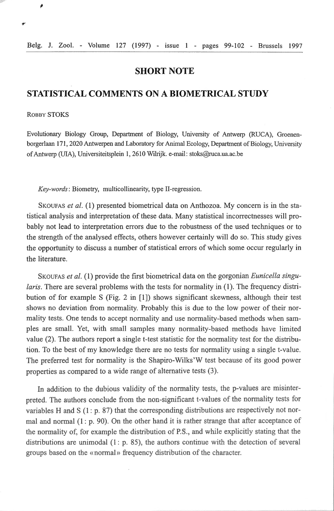# **SHORT NOTE**

## **STATISTICAL COMMENTS ON A BIOMETRICAL STUDY**

ROBBY STOKS

J

Evolutionaty Biology Group, Depmtment of Biology, University of Antwerp (RUCA), Groenenborgerlaan 171, 2020 Antwerpen and Laboratory for Animal Ecology, Department of Biology, University of Antwetp (UIA), Universiteitsplein 1, 2610 Wilrijk. e-mail: stoks@ruca.ua.ac.be

*Key-words:* Biometry, multicollinearity, type II-regression.

SKOUFAS *et al.* (1) presented biometrical data on Anthozoa. My concern is in the statistical analysis and interpretation of these data. Many statistical incorrectnesses will probably not lead to interpretation errors due to the robustness of the used techniques or to the strength of the analysed effects, otbers however certainly will do so. This study gives the opportunity to discuss a number of statistical errors of which some occur regularly in the literature.

SKOUFAS *et al.* ( 1) provide the first biometrical data on the gorgonian *Eunicella singularis*. There are several problems with the tests for normality in (1). The frequency distribution of for example S (Fig. 2 in  $[1]$ ) shows significant skewness, although their test shows no deviation from normality. Probably this is due to the low power of their normality tests. One tends to accept normality and use normality-based methods when sampies are small. Yet, with small samples many normality-based methods have limited value  $(2)$ . The authors report a single t-test statistic for the normality test for the distribution. To the best of my knowledge there are no tests for normality using a single t-value. The preferred test for normality is the Shapiro-Wilks'W test because of its good power properties as compared to a wide range of alternative tests (3).

In addition to the dubious validity of the normality tests, the p-values are misinterpreted. The authors conclude from the non-significant t-values of the normality tests for variables H and S ( $1: p. 87$ ) that the corresponding distributions are respectively not normal and normal (1: p. 90). On the other hand it is rather strange that after acceptance of the normality of, for example the distribution of P.S., and while explicitly stating that the distributions are unimodal  $(1: p. 85)$ , the authors continue with the detection of several groups based on the « normal» frequency distribution of the character.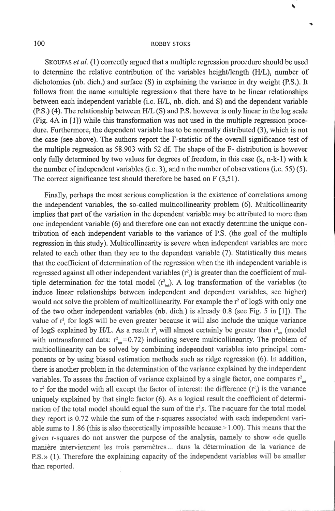### 100 ROBBY STOKS

SKOUFAS *et al.* (1) correctly argued that a multiple regression procedure should be used to determine the relative contribution of the variables height/length (H/L), nwnber of dichotomies (nb. dich.) and surface (S) in explaining the variance in dry weight (P.S.). lt follows from the name «multiple regression» that there have to be linear relationships between each independent variable (i.e. H/L, nb. dich. and S) and the dependent variable (P.S.) (4). The relationship between H/L (S) and P.S. however is only Iinear in the log scale (Fig. 4A in [1]) while this transformation was not used in the multiple regression procedure. Furthermore, the dependent variable has to be normally distributed (3), which is not the case (see above). The authors report the F-statistic of the overall significance test of the multiple regression as 58.903 with 52 df. The shape of the F- distribution is however only fully determined by two values for degrees of freedom, in this case  $(k, n-k-1)$  with k the number of independent variables (i.e. 3), and n the number of observations (i.e. 55) (5). The correct significance test should therefore be based on F (3,51).

Finally, perhaps the most serious complication is the existence of correlations among the independent variables, the so-called multicollinearity problem (6). Multicollinearity implies that part of the variation in the dependent variable may be attributed to more than one independent variable (6) and therefore one can not exactly determine the unique contribution of eacb independent variable to the variance of P.S. (the goal of the multiple regression in this study). Multicollinearity is severe when independent variables are more related to each other than they are to the dependent variable (7). Statistically this means that the coefficient of determination of the regression when the ith independent variable is regressed against all other independent variables  $(r^2)$  is greater than the coefficient of multiple determination for the total model  $(r_{\text{tot}}^2)$ . A log transformation of the variables (to induce linear relationships between independent and dependent variables, see higher) would not solve the problem of multicollinearity. For example the  $r^2$  of logS with only one of the two other independent variables (nb. dich.) is already  $0.8$  (see Fig. 5 in [1]). The value of  $r^2$  for logS will be even greater because it will also include the unique variance of logS explained by H/L. As a result  $r_i^2$  will almost certainly be greater than  $r_{\text{tot}}^2$  (model with untransformed data:  $r_{\text{tot}}^2$ =0.72) indicating severe multicollinearity. The problem of multicollinearity can be solved by combining independent variables into principal components or by using biased estimation methods such as ridge regression (6). In addition, there is another problem in the determination of the variance explained by the independent variables. To assess the fraction of variance explained by a single factor, one compares  $r_{\text{tot}}^2$ to  $r^2$  for the model with all except the factor of interest: the difference  $(r^2)$  is the variance uniquely explained by that single factor (6). As a logical result the coefficient of determination of the total model should equal the sum of the r<sup>2</sup><sub>i</sub>s. The r-square for the total model they report is 0.72 while the sum of the r-squares associated with each independent variable sums to 1.86 (this is also theoretically impossible because  $> 1.00$ ). This means that the given r-squares do not answer the purpose of the analysis, namely to show «de quelle manière interviennent les trois paramètres ... dans la détermination de la variance de P.S.» (1). Therefore the explaining capacity of the independent variables will be smaller than reported.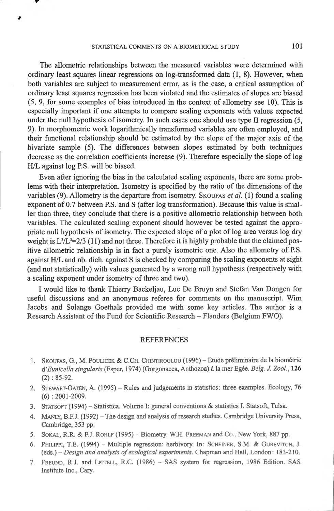#### STATISTICAL COMMENTS ON A BIOMETRICAL STUDY 101

,

The allometric relationships between the measured variables were determined with ordinary least squares linear regressions on log-transformed data  $(1, 8)$ . However, when both variables are subject to measurement error, as is the case, a critical assumption of ordinary least squares regression has been violated and the estimates of slopes are biased (5, 9, for sorne examples of bias introduced in the context of allometry see 10). This is especially important if one attempts to compare scaling exponents with values expected under the null hypothesis of isometry. In such cases one should use type II regression (5, 9). In morphometric work logarithmically transformed variables are often employed, and their functional relationship should be estimated by the slope of the major axis of the bivariate sample (5). The differences between slopes estimated by both techniques decrease as the correlation coefficients increase (9). Therefore especially the slope of log H/L against log P.S. will be biased.

Even after ignoring the bias in the calculated scaling exponents, there are some problems with their interpretation. Isometry is specified by the ratio of the dimensions of the variables (9). Allometry is the departure from isometry. SKOUFAS *et al.* (1) found a scaling exponent of 0.7 between P.S. and S (after log transformation). Because this value is smaller than three, they conclude that there is a positive allometric relationship between both variables. The calculated scaling exponent should however be tested against the appropriate null hypothesis of isometry. The expected slope of a plot of log area versus log dry weight is  $L^2/L^3 = 2/3$  (11) and not three. Therefore it is highly probable that the claimed positive allometric relationship is in fact a purely isometric one. Also the allometry of P.S. against H/L and nb. dich. against Sis checked by comparing the scaling exponents at sight (and not statistically) witb values generated by a wrong null hypothesis (respectively with a scaling exponent under isometry of three and two).

I would like to thank Thierry Backeljau, Luc De Bruyn and Stefan Van Dongen for useful discussions and an anooymous referee for comments on the manuscript. Wim Jacobs and Solange Goethals provided me with some key articles. The author is a Research Assistant of the Fund for Scientific Researcb - Flanders (Belgium FWO).

### **REFERENCES**

- 1. SKOUFAS, G., M. POULICEK & C.CH. CHINTIROGLOU (1996) Etude préliminaire de la biométrie d' *Eunicella singularis* (Esper, 1974) (Gorgonacea, Antbozoa) à la mer Egée. *Belg.* J *Zool. ,* 126 (2) : 85-92.
- 2. STEWART-OATEN, A. (1995) Rules and judgements in statistics: three examples. Ecology, 76 (6) : 2001-2009.
- 3. STATSOFT (1994) Statistica. Volume I: general conventions & statistics I. Statsoft, Tulsa.
- 4. MANLY, B.F.J. (1992) The design and analysis of research studies. Cambridge University Press, Cambridge, 353 pp.
- 5. SOKAL, R.R. & F.J. ROHLF (1995) Biometry. W.H. FREEMAN and Co., New York, 887 pp.
- 6. PHILIPPI, T.E. (1994) Multiple regression: herbivory. In: SCHEINER, S.M. & GUREVITCH, J. (eds.) - *Design and analysis of ecological experiments*. Chapman and Hall, London: 183-210.
- 7. FREUND, R.J. and LFTELL, R.C. (1986) SAS system for regression, 1986 Edition. SAS lnstitute lnc., Cary.